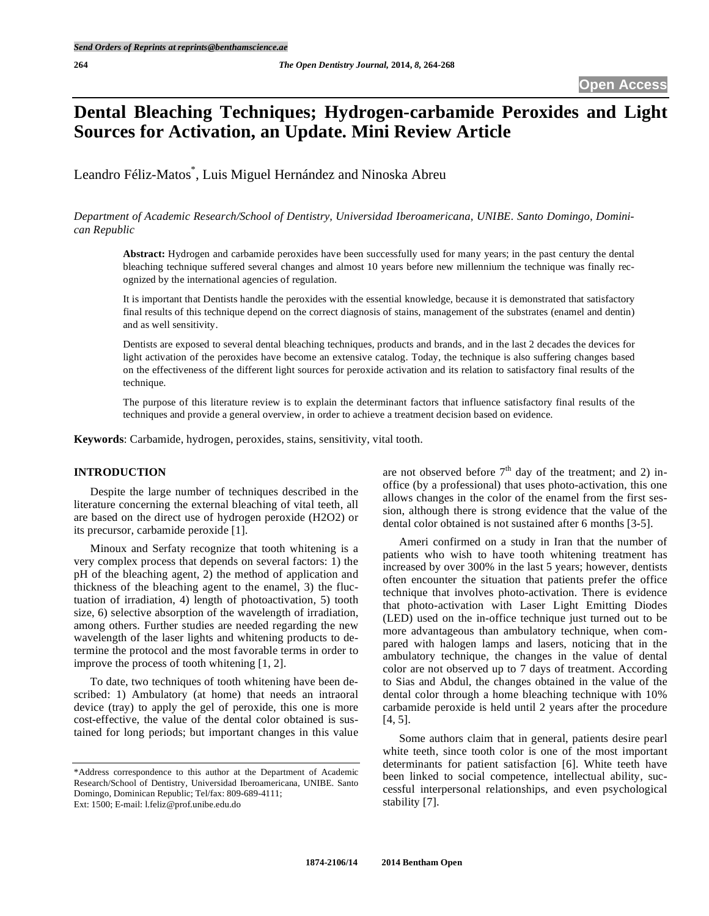# **Dental Bleaching Techniques; Hydrogen-carbamide Peroxides and Light Sources for Activation, an Update. Mini Review Article**

Leandro Féliz-Matos\* , Luis Miguel Hernández and Ninoska Abreu

*Department of Academic Research/School of Dentistry, Universidad Iberoamericana, UNIBE. Santo Domingo, Dominican Republic* 

**Abstract:** Hydrogen and carbamide peroxides have been successfully used for many years; in the past century the dental bleaching technique suffered several changes and almost 10 years before new millennium the technique was finally recognized by the international agencies of regulation.

It is important that Dentists handle the peroxides with the essential knowledge, because it is demonstrated that satisfactory final results of this technique depend on the correct diagnosis of stains, management of the substrates (enamel and dentin) and as well sensitivity.

Dentists are exposed to several dental bleaching techniques, products and brands, and in the last 2 decades the devices for light activation of the peroxides have become an extensive catalog. Today, the technique is also suffering changes based on the effectiveness of the different light sources for peroxide activation and its relation to satisfactory final results of the technique.

The purpose of this literature review is to explain the determinant factors that influence satisfactory final results of the techniques and provide a general overview, in order to achieve a treatment decision based on evidence.

**Keywords**: Carbamide, hydrogen, peroxides, stains, sensitivity, vital tooth.

## **INTRODUCTION**

Despite the large number of techniques described in the literature concerning the external bleaching of vital teeth, all are based on the direct use of hydrogen peroxide (H2O2) or its precursor, carbamide peroxide [1].

Minoux and Serfaty recognize that tooth whitening is a very complex process that depends on several factors: 1) the pH of the bleaching agent, 2) the method of application and thickness of the bleaching agent to the enamel, 3) the fluctuation of irradiation, 4) length of photoactivation, 5) tooth size, 6) selective absorption of the wavelength of irradiation, among others. Further studies are needed regarding the new wavelength of the laser lights and whitening products to determine the protocol and the most favorable terms in order to improve the process of tooth whitening [1, 2].

To date, two techniques of tooth whitening have been described: 1) Ambulatory (at home) that needs an intraoral device (tray) to apply the gel of peroxide, this one is more cost-effective, the value of the dental color obtained is sustained for long periods; but important changes in this value

\*Address correspondence to this author at the Department of Academic Research/School of Dentistry, Universidad Iberoamericana, UNIBE. Santo Domingo, Dominican Republic; Tel/fax: 809-689-4111; Ext: 1500; E-mail: l.feliz@prof.unibe.edu.do

are not observed before  $7<sup>th</sup>$  day of the treatment; and 2) inoffice (by a professional) that uses photo-activation, this one allows changes in the color of the enamel from the first session, although there is strong evidence that the value of the dental color obtained is not sustained after 6 months [3-5].

Ameri confirmed on a study in Iran that the number of patients who wish to have tooth whitening treatment has increased by over 300% in the last 5 years; however, dentists often encounter the situation that patients prefer the office technique that involves photo-activation. There is evidence that photo-activation with Laser Light Emitting Diodes (LED) used on the in-office technique just turned out to be more advantageous than ambulatory technique, when compared with halogen lamps and lasers, noticing that in the ambulatory technique, the changes in the value of dental color are not observed up to 7 days of treatment. According to Sias and Abdul, the changes obtained in the value of the dental color through a home bleaching technique with 10% carbamide peroxide is held until 2 years after the procedure [4, 5].

Some authors claim that in general, patients desire pearl white teeth, since tooth color is one of the most important determinants for patient satisfaction [6]. White teeth have been linked to social competence, intellectual ability, successful interpersonal relationships, and even psychological stability [7].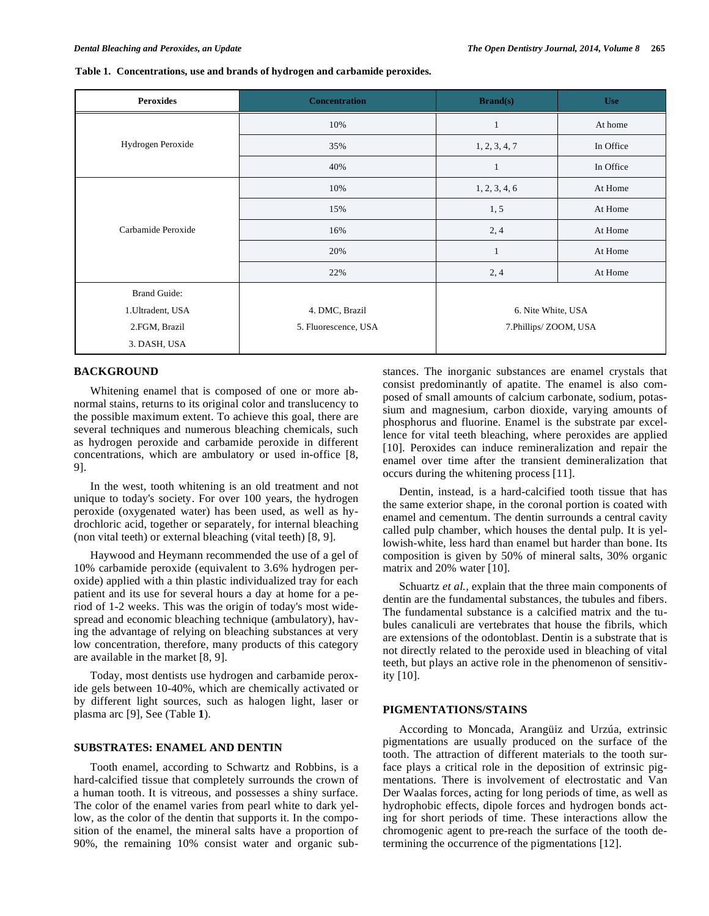#### **Table 1. Concentrations, use and brands of hydrogen and carbamide peroxides.**

| <b>Peroxides</b>    | <b>Concentration</b> | $\mathbf{Brand}(s)$                        | <b>Use</b> |
|---------------------|----------------------|--------------------------------------------|------------|
| Hydrogen Peroxide   | 10%                  | 1                                          | At home    |
|                     | 35%                  | 1, 2, 3, 4, 7                              | In Office  |
|                     | 40%                  | $\mathbf{1}$                               | In Office  |
| Carbamide Peroxide  | 10%                  | 1, 2, 3, 4, 6                              | At Home    |
|                     | 15%                  | 1, 5                                       | At Home    |
|                     | 16%                  | 2,4                                        | At Home    |
|                     | 20%                  | $\mathbf{1}$                               | At Home    |
|                     | 22%                  | 2,4                                        | At Home    |
| <b>Brand Guide:</b> |                      |                                            |            |
| 1. Ultradent, USA   | 4. DMC, Brazil       | 6. Nite White, USA<br>7.Phillips/ZOOM, USA |            |
| 2.FGM, Brazil       | 5. Fluorescence, USA |                                            |            |
| 3. DASH, USA        |                      |                                            |            |

#### **BACKGROUND**

Whitening enamel that is composed of one or more abnormal stains, returns to its original color and translucency to the possible maximum extent. To achieve this goal, there are several techniques and numerous bleaching chemicals, such as hydrogen peroxide and carbamide peroxide in different concentrations, which are ambulatory or used in-office [8, 9].

In the west, tooth whitening is an old treatment and not unique to today's society. For over 100 years, the hydrogen peroxide (oxygenated water) has been used, as well as hydrochloric acid, together or separately, for internal bleaching (non vital teeth) or external bleaching (vital teeth) [8, 9].

Haywood and Heymann recommended the use of a gel of 10% carbamide peroxide (equivalent to 3.6% hydrogen peroxide) applied with a thin plastic individualized tray for each patient and its use for several hours a day at home for a period of 1-2 weeks. This was the origin of today's most widespread and economic bleaching technique (ambulatory), having the advantage of relying on bleaching substances at very low concentration, therefore, many products of this category are available in the market [8, 9].

Today, most dentists use hydrogen and carbamide peroxide gels between 10-40%, which are chemically activated or by different light sources, such as halogen light, laser or plasma arc [9], See (Table **1**).

## **SUBSTRATES: ENAMEL AND DENTIN**

Tooth enamel, according to Schwartz and Robbins, is a hard-calcified tissue that completely surrounds the crown of a human tooth. It is vitreous, and possesses a shiny surface. The color of the enamel varies from pearl white to dark yellow, as the color of the dentin that supports it. In the composition of the enamel, the mineral salts have a proportion of 90%, the remaining 10% consist water and organic substances. The inorganic substances are enamel crystals that consist predominantly of apatite. The enamel is also composed of small amounts of calcium carbonate, sodium, potassium and magnesium, carbon dioxide, varying amounts of phosphorus and fluorine. Enamel is the substrate par excellence for vital teeth bleaching, where peroxides are applied [10]. Peroxides can induce remineralization and repair the enamel over time after the transient demineralization that occurs during the whitening process [11].

Dentin, instead, is a hard-calcified tooth tissue that has the same exterior shape, in the coronal portion is coated with enamel and cementum. The dentin surrounds a central cavity called pulp chamber, which houses the dental pulp. It is yellowish-white, less hard than enamel but harder than bone. Its composition is given by 50% of mineral salts, 30% organic matrix and 20% water [10].

Schuartz *et al.,* explain that the three main components of dentin are the fundamental substances, the tubules and fibers. The fundamental substance is a calcified matrix and the tubules canaliculi are vertebrates that house the fibrils, which are extensions of the odontoblast. Dentin is a substrate that is not directly related to the peroxide used in bleaching of vital teeth, but plays an active role in the phenomenon of sensitivity [10].

#### **PIGMENTATIONS/STAINS**

According to Moncada, Arangüiz and Urzúa, extrinsic pigmentations are usually produced on the surface of the tooth. The attraction of different materials to the tooth surface plays a critical role in the deposition of extrinsic pigmentations. There is involvement of electrostatic and Van Der Waalas forces, acting for long periods of time, as well as hydrophobic effects, dipole forces and hydrogen bonds acting for short periods of time. These interactions allow the chromogenic agent to pre-reach the surface of the tooth determining the occurrence of the pigmentations [12].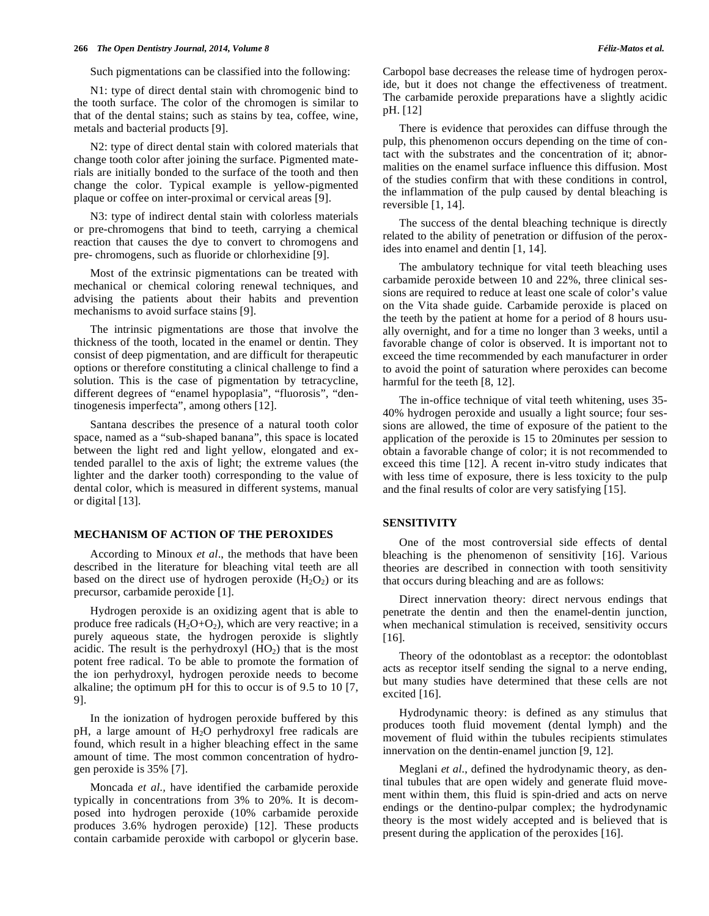#### **266** *The Open Dentistry Journal, 2014, Volume 8 Féliz-Matos et al.*

Such pigmentations can be classified into the following:

N1: type of direct dental stain with chromogenic bind to the tooth surface. The color of the chromogen is similar to that of the dental stains; such as stains by tea, coffee, wine, metals and bacterial products [9].

N2: type of direct dental stain with colored materials that change tooth color after joining the surface. Pigmented materials are initially bonded to the surface of the tooth and then change the color. Typical example is yellow-pigmented plaque or coffee on inter-proximal or cervical areas [9].

N3: type of indirect dental stain with colorless materials or pre-chromogens that bind to teeth, carrying a chemical reaction that causes the dye to convert to chromogens and pre- chromogens, such as fluoride or chlorhexidine [9].

Most of the extrinsic pigmentations can be treated with mechanical or chemical coloring renewal techniques, and advising the patients about their habits and prevention mechanisms to avoid surface stains [9].

The intrinsic pigmentations are those that involve the thickness of the tooth, located in the enamel or dentin. They consist of deep pigmentation, and are difficult for therapeutic options or therefore constituting a clinical challenge to find a solution. This is the case of pigmentation by tetracycline, different degrees of "enamel hypoplasia", "fluorosis", "dentinogenesis imperfecta", among others [12].

Santana describes the presence of a natural tooth color space, named as a "sub-shaped banana", this space is located between the light red and light yellow, elongated and extended parallel to the axis of light; the extreme values (the lighter and the darker tooth) corresponding to the value of dental color, which is measured in different systems, manual or digital [13].

# **MECHANISM OF ACTION OF THE PEROXIDES**

According to Minoux *et al*., the methods that have been described in the literature for bleaching vital teeth are all based on the direct use of hydrogen peroxide  $(H_2O_2)$  or its precursor, carbamide peroxide [1].

Hydrogen peroxide is an oxidizing agent that is able to produce free radicals  $(H_2O+O_2)$ , which are very reactive; in a purely aqueous state, the hydrogen peroxide is slightly acidic. The result is the perhydroxyl  $(HO<sub>2</sub>)$  that is the most potent free radical. To be able to promote the formation of the ion perhydroxyl, hydrogen peroxide needs to become alkaline; the optimum pH for this to occur is of 9.5 to 10 [7, 9].

In the ionization of hydrogen peroxide buffered by this pH, a large amount of H<sub>2</sub>O perhydroxyl free radicals are found, which result in a higher bleaching effect in the same amount of time. The most common concentration of hydrogen peroxide is 35% [7].

Moncada *et al.,* have identified the carbamide peroxide typically in concentrations from 3% to 20%. It is decomposed into hydrogen peroxide (10% carbamide peroxide produces 3.6% hydrogen peroxide) [12]. These products contain carbamide peroxide with carbopol or glycerin base. Carbopol base decreases the release time of hydrogen peroxide, but it does not change the effectiveness of treatment. The carbamide peroxide preparations have a slightly acidic pH. [12]

There is evidence that peroxides can diffuse through the pulp, this phenomenon occurs depending on the time of contact with the substrates and the concentration of it; abnormalities on the enamel surface influence this diffusion. Most of the studies confirm that with these conditions in control, the inflammation of the pulp caused by dental bleaching is reversible [1, 14].

The success of the dental bleaching technique is directly related to the ability of penetration or diffusion of the peroxides into enamel and dentin [1, 14].

The ambulatory technique for vital teeth bleaching uses carbamide peroxide between 10 and 22%, three clinical sessions are required to reduce at least one scale of color's value on the Vita shade guide. Carbamide peroxide is placed on the teeth by the patient at home for a period of 8 hours usually overnight, and for a time no longer than 3 weeks, until a favorable change of color is observed. It is important not to exceed the time recommended by each manufacturer in order to avoid the point of saturation where peroxides can become harmful for the teeth [8, 12].

The in-office technique of vital teeth whitening, uses 35- 40% hydrogen peroxide and usually a light source; four sessions are allowed, the time of exposure of the patient to the application of the peroxide is 15 to 20minutes per session to obtain a favorable change of color; it is not recommended to exceed this time [12]. A recent in-vitro study indicates that with less time of exposure, there is less toxicity to the pulp and the final results of color are very satisfying [15].

#### **SENSITIVITY**

One of the most controversial side effects of dental bleaching is the phenomenon of sensitivity [16]. Various theories are described in connection with tooth sensitivity that occurs during bleaching and are as follows:

Direct innervation theory: direct nervous endings that penetrate the dentin and then the enamel-dentin junction, when mechanical stimulation is received, sensitivity occurs [16].

Theory of the odontoblast as a receptor: the odontoblast acts as receptor itself sending the signal to a nerve ending, but many studies have determined that these cells are not excited [16].

Hydrodynamic theory: is defined as any stimulus that produces tooth fluid movement (dental lymph) and the movement of fluid within the tubules recipients stimulates innervation on the dentin-enamel junction [9, 12].

Meglani *et al.*, defined the hydrodynamic theory, as dentinal tubules that are open widely and generate fluid movement within them, this fluid is spin-dried and acts on nerve endings or the dentino-pulpar complex; the hydrodynamic theory is the most widely accepted and is believed that is present during the application of the peroxides [16].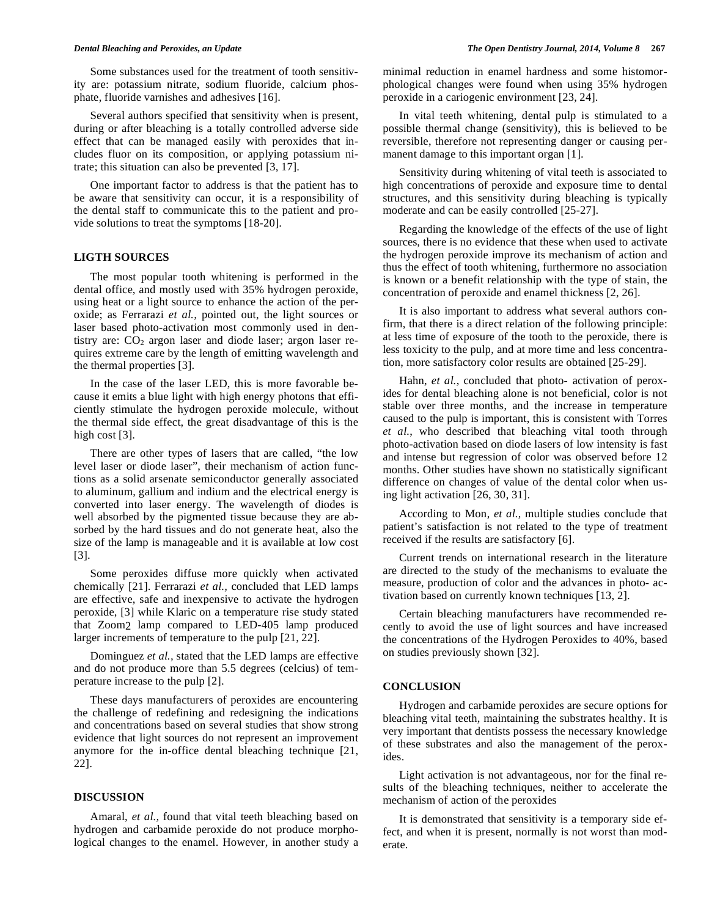Some substances used for the treatment of tooth sensitivity are: potassium nitrate, sodium fluoride, calcium phosphate, fluoride varnishes and adhesives [16].

Several authors specified that sensitivity when is present, during or after bleaching is a totally controlled adverse side effect that can be managed easily with peroxides that includes fluor on its composition, or applying potassium nitrate; this situation can also be prevented [3, 17].

One important factor to address is that the patient has to be aware that sensitivity can occur, it is a responsibility of the dental staff to communicate this to the patient and provide solutions to treat the symptoms [18-20].

#### **LIGTH SOURCES**

The most popular tooth whitening is performed in the dental office, and mostly used with 35% hydrogen peroxide, using heat or a light source to enhance the action of the peroxide; as Ferrarazi *et al.,* pointed out, the light sources or laser based photo-activation most commonly used in dentistry are:  $CO<sub>2</sub>$  argon laser and diode laser; argon laser requires extreme care by the length of emitting wavelength and the thermal properties [3].

In the case of the laser LED, this is more favorable because it emits a blue light with high energy photons that efficiently stimulate the hydrogen peroxide molecule, without the thermal side effect, the great disadvantage of this is the high cost [3].

There are other types of lasers that are called, "the low level laser or diode laser", their mechanism of action functions as a solid arsenate semiconductor generally associated to aluminum, gallium and indium and the electrical energy is converted into laser energy. The wavelength of diodes is well absorbed by the pigmented tissue because they are absorbed by the hard tissues and do not generate heat, also the size of the lamp is manageable and it is available at low cost [3].

Some peroxides diffuse more quickly when activated chemically [21]. Ferrarazi *et al.,* concluded that LED lamps are effective, safe and inexpensive to activate the hydrogen peroxide, [3] while Klaric on a temperature rise study stated that Zoom2 lamp compared to LED-405 lamp produced larger increments of temperature to the pulp [21, 22].

Dominguez *et al.,* stated that the LED lamps are effective and do not produce more than 5.5 degrees (celcius) of temperature increase to the pulp [2].

These days manufacturers of peroxides are encountering the challenge of redefining and redesigning the indications and concentrations based on several studies that show strong evidence that light sources do not represent an improvement anymore for the in-office dental bleaching technique [21, 22].

#### **DISCUSSION**

Amaral, *et al.,* found that vital teeth bleaching based on hydrogen and carbamide peroxide do not produce morphological changes to the enamel. However, in another study a minimal reduction in enamel hardness and some histomorphological changes were found when using 35% hydrogen peroxide in a cariogenic environment [23, 24].

In vital teeth whitening, dental pulp is stimulated to a possible thermal change (sensitivity), this is believed to be reversible, therefore not representing danger or causing permanent damage to this important organ [1].

Sensitivity during whitening of vital teeth is associated to high concentrations of peroxide and exposure time to dental structures, and this sensitivity during bleaching is typically moderate and can be easily controlled [25-27].

Regarding the knowledge of the effects of the use of light sources, there is no evidence that these when used to activate the hydrogen peroxide improve its mechanism of action and thus the effect of tooth whitening, furthermore no association is known or a benefit relationship with the type of stain, the concentration of peroxide and enamel thickness [2, 26].

It is also important to address what several authors confirm, that there is a direct relation of the following principle: at less time of exposure of the tooth to the peroxide, there is less toxicity to the pulp, and at more time and less concentration, more satisfactory color results are obtained [25-29].

Hahn, *et al.*, concluded that photo- activation of peroxides for dental bleaching alone is not beneficial, color is not stable over three months, and the increase in temperature caused to the pulp is important, this is consistent with Torres *et al.*, who described that bleaching vital tooth through photo-activation based on diode lasers of low intensity is fast and intense but regression of color was observed before 12 months. Other studies have shown no statistically significant difference on changes of value of the dental color when using light activation [26, 30, 31].

According to Mon, *et al.,* multiple studies conclude that patient's satisfaction is not related to the type of treatment received if the results are satisfactory [6].

Current trends on international research in the literature are directed to the study of the mechanisms to evaluate the measure, production of color and the advances in photo- activation based on currently known techniques [13, 2].

Certain bleaching manufacturers have recommended recently to avoid the use of light sources and have increased the concentrations of the Hydrogen Peroxides to 40%, based on studies previously shown [32].

## **CONCLUSION**

Hydrogen and carbamide peroxides are secure options for bleaching vital teeth, maintaining the substrates healthy. It is very important that dentists possess the necessary knowledge of these substrates and also the management of the peroxides.

Light activation is not advantageous, nor for the final results of the bleaching techniques, neither to accelerate the mechanism of action of the peroxides

It is demonstrated that sensitivity is a temporary side effect, and when it is present, normally is not worst than moderate.